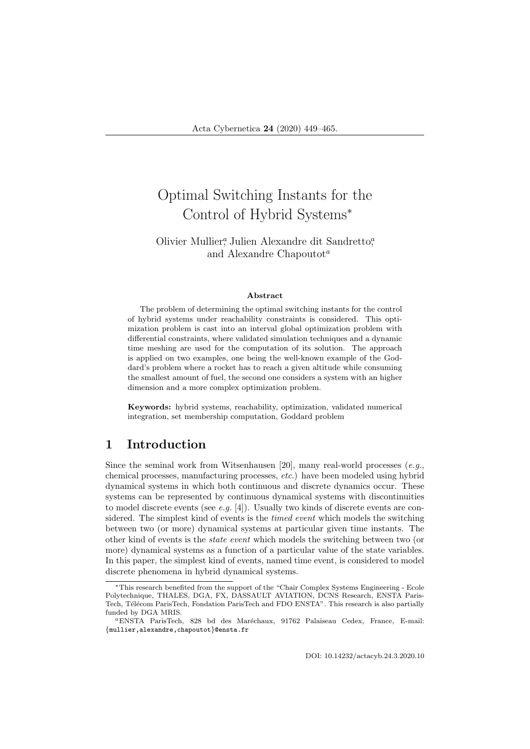# Optimal Switching Instants for the Control of Hybrid Systems<sup>∗</sup>

### Olivier Mullier<sup>a</sup>, Julien Alexandre dit Sandretto<sup>a</sup>, and Alexandre Chapoutot<sup>a</sup>

#### Abstract

The problem of determining the optimal switching instants for the control of hybrid systems under reachability constraints is considered. This optimization problem is cast into an interval global optimization problem with differential constraints, where validated simulation techniques and a dynamic time meshing are used for the computation of its solution. The approach is applied on two examples, one being the well-known example of the Goddard's problem where a rocket has to reach a given altitude while consuming the smallest amount of fuel, the second one considers a system with an higher dimension and a more complex optimization problem.

Keywords: hybrid systems, reachability, optimization, validated numerical integration, set membership computation, Goddard problem

## 1 Introduction

Since the seminal work from Witsenhausen [20], many real-world processes  $(e.g.,$ chemical processes, manufacturing processes, etc.) have been modeled using hybrid dynamical systems in which both continuous and discrete dynamics occur. These systems can be represented by continuous dynamical systems with discontinuities to model discrete events (see  $e.g.$  [4]). Usually two kinds of discrete events are considered. The simplest kind of events is the *timed event* which models the switching between two (or more) dynamical systems at particular given time instants. The other kind of events is the state event which models the switching between two (or more) dynamical systems as a function of a particular value of the state variables. In this paper, the simplest kind of events, named time event, is considered to model discrete phenomena in hybrid dynamical systems.

<sup>∗</sup>This research benefited from the support of the "Chair Complex Systems Engineering - Ecole Polytechnique, THALES, DGA, FX, DASSAULT AVIATION, DCNS Research, ENSTA Paris-Tech, Télécom ParisTech, Fondation ParisTech and FDO ENSTA". This research is also partially funded by DGA MRIS.

<sup>&</sup>lt;sup>a</sup>ENSTA ParisTech, 828 bd des Maréchaux, 91762 Palaiseau Cedex, France, E-mail: {mullier,alexandre,chapoutot}@ensta.fr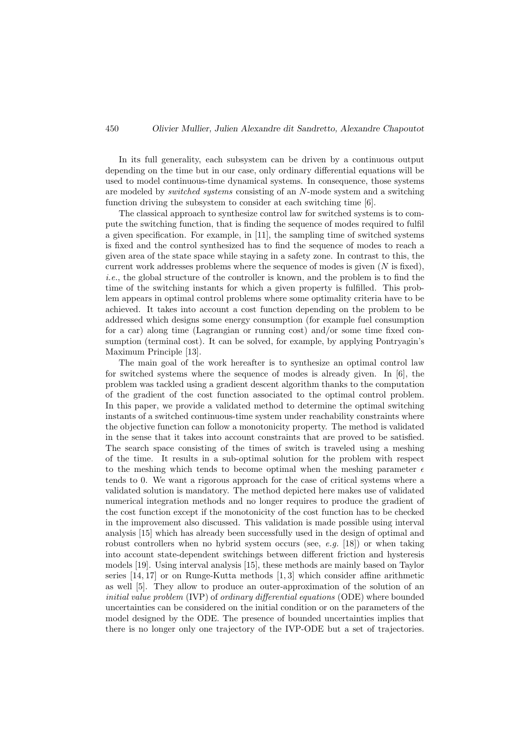In its full generality, each subsystem can be driven by a continuous output depending on the time but in our case, only ordinary differential equations will be used to model continuous-time dynamical systems. In consequence, those systems are modeled by switched systems consisting of an N-mode system and a switching function driving the subsystem to consider at each switching time [6].

The classical approach to synthesize control law for switched systems is to compute the switching function, that is finding the sequence of modes required to fulfil a given specification. For example, in [11], the sampling time of switched systems is fixed and the control synthesized has to find the sequence of modes to reach a given area of the state space while staying in a safety zone. In contrast to this, the current work addresses problems where the sequence of modes is given  $(N \text{ is fixed})$ , i.e., the global structure of the controller is known, and the problem is to find the time of the switching instants for which a given property is fulfilled. This problem appears in optimal control problems where some optimality criteria have to be achieved. It takes into account a cost function depending on the problem to be addressed which designs some energy consumption (for example fuel consumption for a car) along time (Lagrangian or running cost) and/or some time fixed consumption (terminal cost). It can be solved, for example, by applying Pontryagin's Maximum Principle [13].

The main goal of the work hereafter is to synthesize an optimal control law for switched systems where the sequence of modes is already given. In [6], the problem was tackled using a gradient descent algorithm thanks to the computation of the gradient of the cost function associated to the optimal control problem. In this paper, we provide a validated method to determine the optimal switching instants of a switched continuous-time system under reachability constraints where the objective function can follow a monotonicity property. The method is validated in the sense that it takes into account constraints that are proved to be satisfied. The search space consisting of the times of switch is traveled using a meshing of the time. It results in a sub-optimal solution for the problem with respect to the meshing which tends to become optimal when the meshing parameter  $\epsilon$ tends to 0. We want a rigorous approach for the case of critical systems where a validated solution is mandatory. The method depicted here makes use of validated numerical integration methods and no longer requires to produce the gradient of the cost function except if the monotonicity of the cost function has to be checked in the improvement also discussed. This validation is made possible using interval analysis [15] which has already been successfully used in the design of optimal and robust controllers when no hybrid system occurs (see, e.g. [18]) or when taking into account state-dependent switchings between different friction and hysteresis models [19]. Using interval analysis [15], these methods are mainly based on Taylor series  $[14, 17]$  or on Runge-Kutta methods  $[1, 3]$  which consider affine arithmetic as well [5]. They allow to produce an outer-approximation of the solution of an initial value problem (IVP) of ordinary differential equations (ODE) where bounded uncertainties can be considered on the initial condition or on the parameters of the model designed by the ODE. The presence of bounded uncertainties implies that there is no longer only one trajectory of the IVP-ODE but a set of trajectories.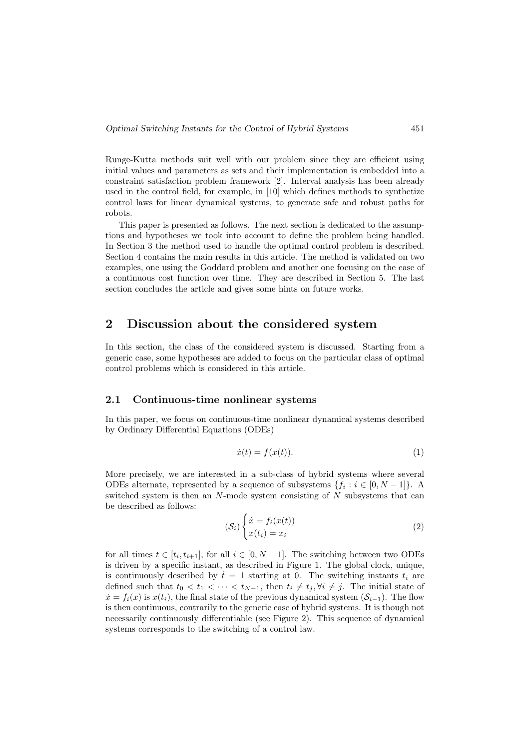Runge-Kutta methods suit well with our problem since they are efficient using initial values and parameters as sets and their implementation is embedded into a constraint satisfaction problem framework [2]. Interval analysis has been already used in the control field, for example, in [10] which defines methods to synthetize control laws for linear dynamical systems, to generate safe and robust paths for robots.

This paper is presented as follows. The next section is dedicated to the assumptions and hypotheses we took into account to define the problem being handled. In Section 3 the method used to handle the optimal control problem is described. Section 4 contains the main results in this article. The method is validated on two examples, one using the Goddard problem and another one focusing on the case of a continuous cost function over time. They are described in Section 5. The last section concludes the article and gives some hints on future works.

## 2 Discussion about the considered system

In this section, the class of the considered system is discussed. Starting from a generic case, some hypotheses are added to focus on the particular class of optimal control problems which is considered in this article.

#### 2.1 Continuous-time nonlinear systems

In this paper, we focus on continuous-time nonlinear dynamical systems described by Ordinary Differential Equations (ODEs)

$$
\dot{x}(t) = f(x(t)).\tag{1}
$$

More precisely, we are interested in a sub-class of hybrid systems where several ODEs alternate, represented by a sequence of subsystems  $\{f_i : i \in [0, N-1]\}$ . A switched system is then an N-mode system consisting of N subsystems that can be described as follows:

$$
(\mathcal{S}_i) \begin{cases} \dot{x} = f_i(x(t)) \\ x(t_i) = x_i \end{cases}
$$
 (2)

for all times  $t \in [t_i, t_{i+1}]$ , for all  $i \in [0, N-1]$ . The switching between two ODEs is driven by a specific instant, as described in Figure 1. The global clock, unique, is continuously described by  $t = 1$  starting at 0. The switching instants  $t_i$  are defined such that  $t_0 < t_1 < \cdots < t_{N-1}$ , then  $t_i \neq t_j$ ,  $\forall i \neq j$ . The initial state of  $\dot{x} = f_i(x)$  is  $x(t_i)$ , the final state of the previous dynamical system  $(S_{i-1})$ . The flow is then continuous, contrarily to the generic case of hybrid systems. It is though not necessarily continuously differentiable (see Figure 2). This sequence of dynamical systems corresponds to the switching of a control law.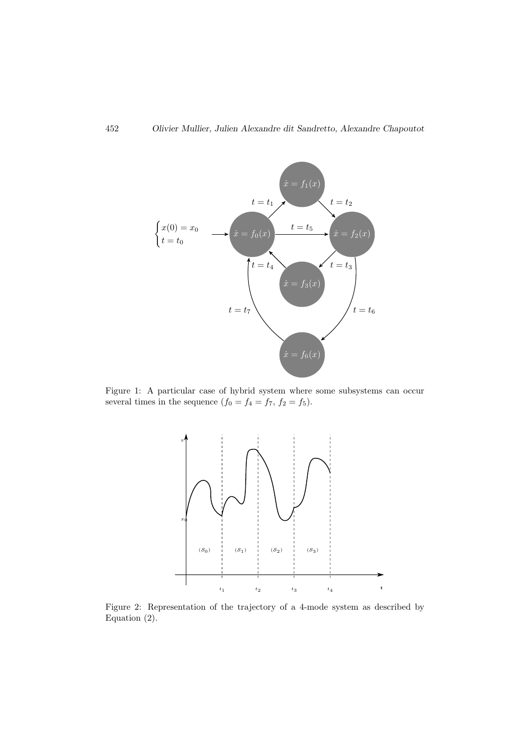

Figure 1: A particular case of hybrid system where some subsystems can occur several times in the sequence  $(f_0 = f_4 = f_7, f_2 = f_5)$ .



Figure 2: Representation of the trajectory of a 4-mode system as described by Equation (2).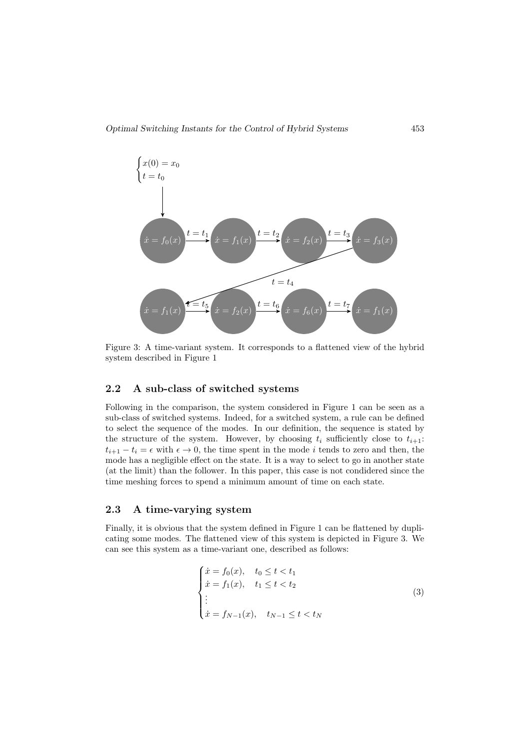

Figure 3: A time-variant system. It corresponds to a flattened view of the hybrid system described in Figure 1

#### 2.2 A sub-class of switched systems

Following in the comparison, the system considered in Figure 1 can be seen as a sub-class of switched systems. Indeed, for a switched system, a rule can be defined to select the sequence of the modes. In our definition, the sequence is stated by the structure of the system. However, by choosing  $t_i$  sufficiently close to  $t_{i+1}$ :  $t_{i+1} - t_i = \epsilon$  with  $\epsilon \to 0$ , the time spent in the mode i tends to zero and then, the mode has a negligible effect on the state. It is a way to select to go in another state (at the limit) than the follower. In this paper, this case is not condidered since the time meshing forces to spend a minimum amount of time on each state.

#### 2.3 A time-varying system

Finally, it is obvious that the system defined in Figure 1 can be flattened by duplicating some modes. The flattened view of this system is depicted in Figure 3. We can see this system as a time-variant one, described as follows:

$$
\begin{cases}\n\dot{x} = f_0(x), & t_0 \le t < t_1 \\
\dot{x} = f_1(x), & t_1 \le t < t_2 \\
\vdots \\
\dot{x} = f_{N-1}(x), & t_{N-1} \le t < t_N\n\end{cases} \tag{3}
$$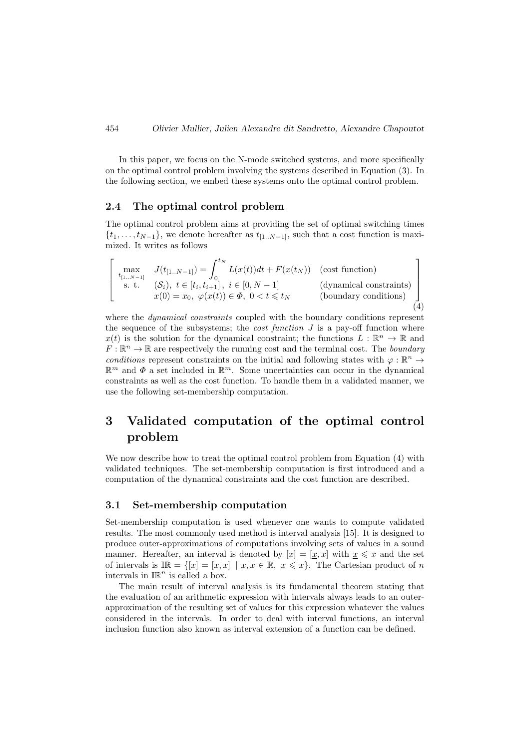In this paper, we focus on the N-mode switched systems, and more specifically on the optimal control problem involving the systems described in Equation (3). In the following section, we embed these systems onto the optimal control problem.

#### 2.4 The optimal control problem

The optimal control problem aims at providing the set of optimal switching times  $\{t_1, \ldots, t_{N-1}\},$  we denote hereafter as  $t_{[1..N-1]}$ , such that a cost function is maximized. It writes as follows

$$
\begin{bmatrix}\n\max_{t_{[1..N-1]}} & J(t_{[1..N-1]}) = \int_0^{t_N} L(x(t))dt + F(x(t_N)) & \text{(cost function)} \\
\text{s. t.} & (\mathcal{S}_i), \ t \in [t_i, t_{i+1}], \ i \in [0, N-1] & \text{(dynamical constraints)} \\
x(0) = x_0, \ \varphi(x(t)) \in \Phi, \ 0 < t \leq t_N & \text{(boundary conditions)}\n\end{bmatrix}
$$
\n(4)

where the *dynamical constraints* coupled with the boundary conditions represent the sequence of the subsystems; the *cost function*  $J$  is a pay-off function where  $x(t)$  is the solution for the dynamical constraint; the functions  $L : \mathbb{R}^n \to \mathbb{R}$  and  $F: \mathbb{R}^n \to \mathbb{R}$  are respectively the running cost and the terminal cost. The boundary conditions represent constraints on the initial and following states with  $\varphi : \mathbb{R}^n \to$  $\mathbb{R}^m$  and  $\Phi$  a set included in  $\mathbb{R}^m$ . Some uncertainties can occur in the dynamical constraints as well as the cost function. To handle them in a validated manner, we use the following set-membership computation.

## 3 Validated computation of the optimal control problem

We now describe how to treat the optimal control problem from Equation (4) with validated techniques. The set-membership computation is first introduced and a computation of the dynamical constraints and the cost function are described.

#### 3.1 Set-membership computation

Set-membership computation is used whenever one wants to compute validated results. The most commonly used method is interval analysis [15]. It is designed to produce outer-approximations of computations involving sets of values in a sound manner. Hereafter, an interval is denoted by  $[x] = [x, \overline{x}]$  with  $x \leq \overline{x}$  and the set of intervals is  $\mathbb{IR} = \{ [x] = [\underline{x}, \overline{x}] \mid \underline{x}, \overline{x} \in \mathbb{R}, \underline{x} \leq \overline{x} \}.$  The Cartesian product of n intervals in  $\mathbb{IR}^n$  is called a box.

The main result of interval analysis is its fundamental theorem stating that the evaluation of an arithmetic expression with intervals always leads to an outerapproximation of the resulting set of values for this expression whatever the values considered in the intervals. In order to deal with interval functions, an interval inclusion function also known as interval extension of a function can be defined.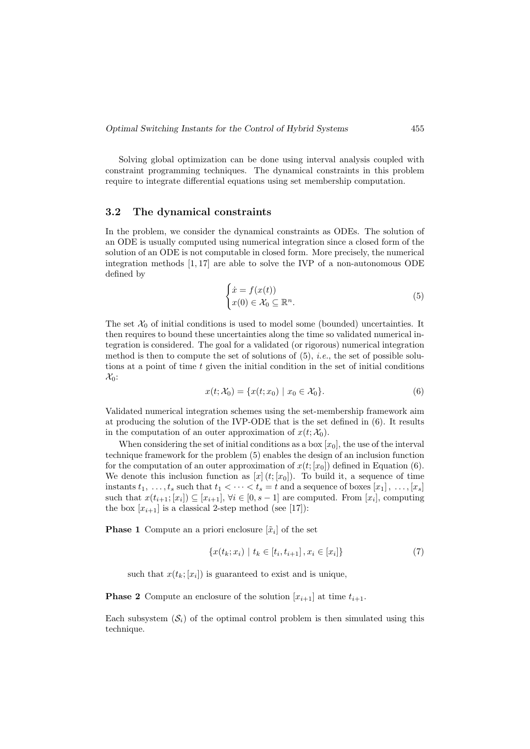Solving global optimization can be done using interval analysis coupled with constraint programming techniques. The dynamical constraints in this problem require to integrate differential equations using set membership computation.

#### 3.2 The dynamical constraints

In the problem, we consider the dynamical constraints as ODEs. The solution of an ODE is usually computed using numerical integration since a closed form of the solution of an ODE is not computable in closed form. More precisely, the numerical integration methods [1, 17] are able to solve the IVP of a non-autonomous ODE defined by

$$
\begin{cases}\n\dot{x} = f(x(t)) \\
x(0) \in \mathcal{X}_0 \subseteq \mathbb{R}^n.\n\end{cases}
$$
\n(5)

The set  $\mathcal{X}_0$  of initial conditions is used to model some (bounded) uncertainties. It then requires to bound these uncertainties along the time so validated numerical integration is considered. The goal for a validated (or rigorous) numerical integration method is then to compute the set of solutions of  $(5)$ , *i.e.*, the set of possible solutions at a point of time  $t$  given the initial condition in the set of initial conditions  $\mathcal{X}_0$ :

$$
x(t; \mathcal{X}_0) = \{x(t; x_0) \mid x_0 \in \mathcal{X}_0\}.
$$
 (6)

Validated numerical integration schemes using the set-membership framework aim at producing the solution of the IVP-ODE that is the set defined in (6). It results in the computation of an outer approximation of  $x(t; \mathcal{X}_0)$ .

When considering the set of initial conditions as a box  $[x_0]$ , the use of the interval technique framework for the problem (5) enables the design of an inclusion function for the computation of an outer approximation of  $x(t; [x_0])$  defined in Equation (6). We denote this inclusion function as  $[x](t;[x_0])$ . To build it, a sequence of time instants  $t_1, \ldots, t_s$  such that  $t_1 < \cdots < t_s = t$  and a sequence of boxes  $[x_1], \ldots, [x_s]$ such that  $x(t_{i+1};[x_i]) \subseteq [x_{i+1}], \forall i \in [0, s-1]$  are computed. From  $[x_i]$ , computing the box  $[x_{i+1}]$  is a classical 2-step method (see [17]):

**Phase 1** Compute an a priori enclosure  $[\tilde{x}_i]$  of the set

$$
\{x(t_k; x_i) \mid t_k \in [t_i, t_{i+1}], x_i \in [x_i] \}
$$
\n<sup>(7)</sup>

such that  $x(t_k; [x_i])$  is guaranteed to exist and is unique,

#### **Phase 2** Compute an enclosure of the solution  $[x_{i+1}]$  at time  $t_{i+1}$ .

Each subsystem  $(\mathcal{S}_i)$  of the optimal control problem is then simulated using this technique.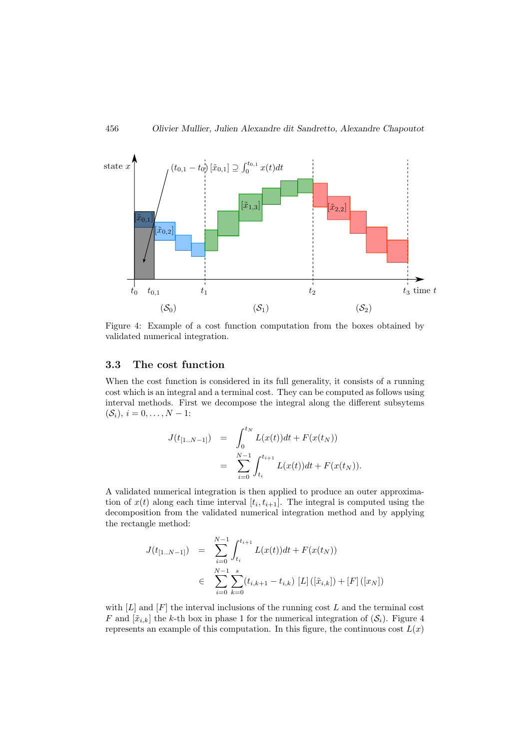

Figure 4: Example of a cost function computation from the boxes obtained by validated numerical integration.

#### 3.3 The cost function

When the cost function is considered in its full generality, it consists of a running cost which is an integral and a terminal cost. They can be computed as follows using interval methods. First we decompose the integral along the different subsytems  $(S_i)$ ,  $i = 0, \ldots, N - 1$ :

$$
J(t_{[1..N-1]}) = \int_0^{t_N} L(x(t))dt + F(x(t_N))
$$
  
= 
$$
\sum_{i=0}^{N-1} \int_{t_i}^{t_{i+1}} L(x(t))dt + F(x(t_N)).
$$

A validated numerical integration is then applied to produce an outer approximation of  $x(t)$  along each time interval  $[t_i, t_{i+1}]$ . The integral is computed using the decomposition from the validated numerical integration method and by applying the rectangle method:

$$
J(t_{[1..N-1]}) = \sum_{i=0}^{N-1} \int_{t_i}^{t_{i+1}} L(x(t))dt + F(x(t_N))
$$
  

$$
\in \sum_{i=0}^{N-1} \sum_{k=0}^{s} (t_{i,k+1} - t_{i,k}) [L] ([\tilde{x}_{i,k}]) + [F] ([x_N])
$$

with  $[L]$  and  $[F]$  the interval inclusions of the running cost  $L$  and the terminal cost F and  $[\tilde{x}_{ik}]$  the k-th box in phase 1 for the numerical integration of  $(S_i)$ . Figure 4 represents an example of this computation. In this figure, the continuous cost  $L(x)$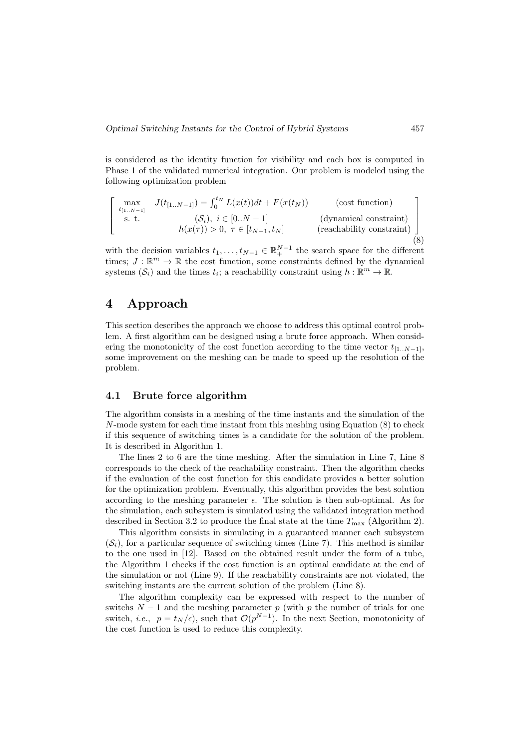is considered as the identity function for visibility and each box is computed in Phase 1 of the validated numerical integration. Our problem is modeled using the following optimization problem

$$
\begin{bmatrix}\n\max_{t_{[1..N-1]}} & J(t_{[1..N-1]}) = \int_0^{t_N} L(x(t))dt + F(x(t_N)) & \text{(cost function)} \\
\text{s. t.} & (\mathcal{S}_i), \ i \in [0..N-1] & \text{(dynamical constraint)} \\
h(x(\tau)) > 0, \ \tau \in [t_{N-1}, t_N] & \text{(reachability constraint)}\n\end{bmatrix}
$$
\n(8)

with the decision variables  $t_1, \ldots, t_{N-1} \in \mathbb{R}_+^{N-1}$  the search space for the different times;  $J: \mathbb{R}^m \to \mathbb{R}$  the cost function, some constraints defined by the dynamical systems  $(S_i)$  and the times  $t_i$ ; a reachability constraint using  $h : \mathbb{R}^m \to \mathbb{R}$ .

## 4 Approach

This section describes the approach we choose to address this optimal control problem. A first algorithm can be designed using a brute force approach. When considering the monotonicity of the cost function according to the time vector  $t_{[1..N-1]}$ , some improvement on the meshing can be made to speed up the resolution of the problem.

#### 4.1 Brute force algorithm

The algorithm consists in a meshing of the time instants and the simulation of the  $N$ -mode system for each time instant from this meshing using Equation  $(8)$  to check if this sequence of switching times is a candidate for the solution of the problem. It is described in Algorithm 1.

The lines 2 to 6 are the time meshing. After the simulation in Line 7, Line 8 corresponds to the check of the reachability constraint. Then the algorithm checks if the evaluation of the cost function for this candidate provides a better solution for the optimization problem. Eventually, this algorithm provides the best solution according to the meshing parameter  $\epsilon$ . The solution is then sub-optimal. As for the simulation, each subsystem is simulated using the validated integration method described in Section 3.2 to produce the final state at the time  $T_{\text{max}}$  (Algorithm 2).

This algorithm consists in simulating in a guaranteed manner each subsystem  $(\mathcal{S}_i)$ , for a particular sequence of switching times (Line 7). This method is similar to the one used in [12]. Based on the obtained result under the form of a tube, the Algorithm 1 checks if the cost function is an optimal candidate at the end of the simulation or not (Line 9). If the reachability constraints are not violated, the switching instants are the current solution of the problem (Line 8).

The algorithm complexity can be expressed with respect to the number of switchs  $N-1$  and the meshing parameter p (with p the number of trials for one switch, *i.e.*,  $p = t<sub>N</sub>/\epsilon$ , such that  $\mathcal{O}(p^{N-1})$ . In the next Section, monotonicity of the cost function is used to reduce this complexity.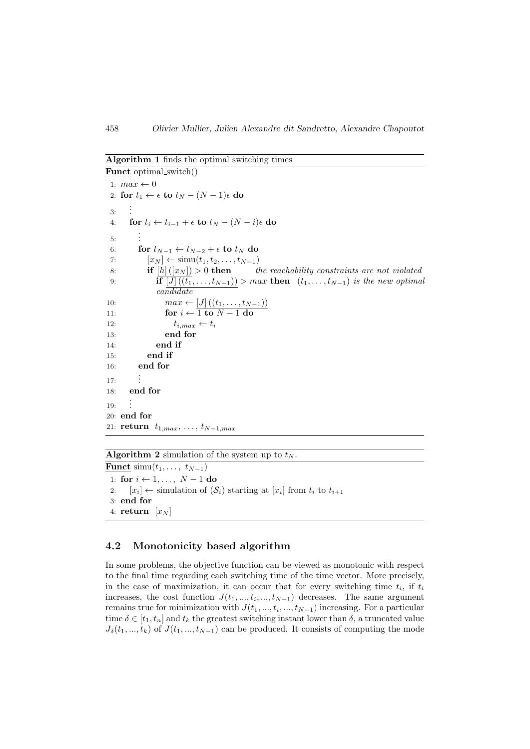#### Algorithm 1 finds the optimal switching times

```
Funct optimal switch()
 1: max \leftarrow 02: for t_1 \leftarrow \epsilon to t_N - (N - 1)\epsilon do
 3:
       .
       .
       .
 4: for t_i \leftarrow t_{i-1} + \epsilon to t_N - (N - i)\epsilon do
 5:
          .
          .
          .
 6: for t_{N-1} \leftarrow t_{N-2} + \epsilon to t_N do
 7: [x_N] \leftarrow \text{simu}(t_1, t_2, \dots, t_{N-1})8: if [h] ([x_N]) > 0 then the reachability constraints are not violated
 9: if [J] ((t_1, \ldots, t_{N-1})) > max then (t_1, \ldots, t_{N-1}) is the new optimal
               candidate
10: max \leftarrow [J] ((t_1, ..., t_{N-1}))11: for i \leftarrow \overline{1 \text{ to } N-1 \text{ do}}12: t_{i,max} \leftarrow t_i13: end for
14: end if
15: end if
16: end for
17:
          .
          .
          .
18: end for
19:
       .
       .
       .
20: end for
21: return t_{1,max}, \ldots, t_{N-1,max}
```
#### Algorithm 2 simulation of the system up to  $t_N$ .

**Funct** simu( $t_1, \ldots, t_{N-1}$ ) 1: for  $i \leftarrow 1, \ldots, N-1$  do 2:  $[x_i] \leftarrow$  simulation of  $(\mathcal{S}_i)$  starting at  $[x_i]$  from  $t_i$  to  $t_{i+1}$ 3: end for 4: return  $[x_N]$ 

#### 4.2 Monotonicity based algorithm

In some problems, the objective function can be viewed as monotonic with respect to the final time regarding each switching time of the time vector. More precisely, in the case of maximization, it can occur that for every switching time  $t_i$ , if  $t_i$ increases, the cost function  $J(t_1, ..., t_i, ..., t_{N-1})$  decreases. The same argument remains true for minimization with  $J(t_1, ..., t_i, ..., t_{N-1})$  increasing. For a particular time  $\delta \in [t_1, t_n]$  and  $t_k$  the greatest switching instant lower than  $\delta$ , a truncated value  $J_{\delta}(t_1, ..., t_k)$  of  $J(t_1, ..., t_{N-1})$  can be produced. It consists of computing the mode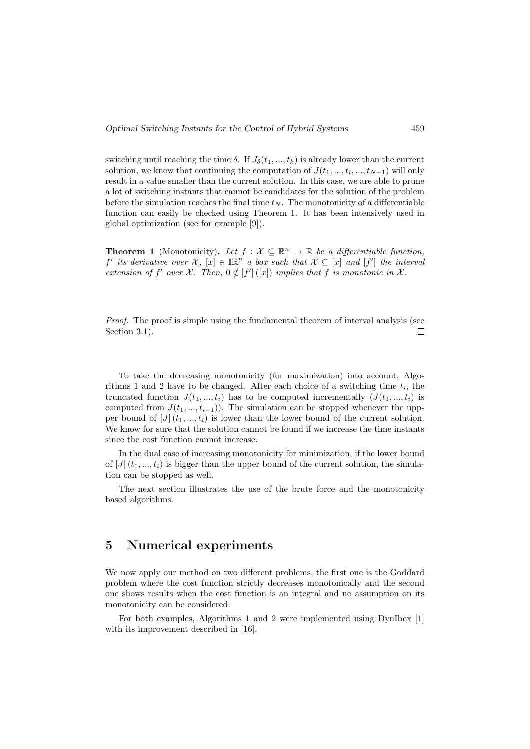switching until reaching the time  $\delta$ . If  $J_{\delta}(t_1, ..., t_k)$  is already lower than the current solution, we know that continuing the computation of  $J(t_1, ..., t_i, ..., t_{N-1})$  will only result in a value smaller than the current solution. In this case, we are able to prune a lot of switching instants that cannot be candidates for the solution of the problem before the simulation reaches the final time  $t_N$ . The monotonicity of a differentiable function can easily be checked using Theorem 1. It has been intensively used in global optimization (see for example [9]).

**Theorem 1** (Monotonicity). Let  $f : \mathcal{X} \subseteq \mathbb{R}^n \to \mathbb{R}$  be a differentiable function, f' its derivative over  $\mathcal{X}, [x] \in \mathbb{R}^n$  a box such that  $\mathcal{X} \subseteq [x]$  and  $[f']$  the interval extension of f' over  $\mathcal{X}$ . Then,  $0 \notin [f' | ([x])$  implies that f is monotonic in  $\mathcal{X}$ .

Proof. The proof is simple using the fundamental theorem of interval analysis (see Section 3.1).  $\Box$ 

To take the decreasing monotonicity (for maximization) into account, Algorithms 1 and 2 have to be changed. After each choice of a switching time  $t_i$ , the truncated function  $J(t_1, ..., t_i)$  has to be computed incrementally  $(J(t_1, ..., t_i))$  is computed from  $J(t_1, ..., t_{i-1})$ . The simulation can be stopped whenever the uppper bound of  $J|(t_1,...,t_i)$  is lower than the lower bound of the current solution. We know for sure that the solution cannot be found if we increase the time instants since the cost function cannot increase.

In the dual case of increasing monotonicity for minimization, if the lower bound of  $[J](t_1, \ldots, t_i)$  is bigger than the upper bound of the current solution, the simulation can be stopped as well.

The next section illustrates the use of the brute force and the monotonicity based algorithms.

## 5 Numerical experiments

We now apply our method on two different problems, the first one is the Goddard problem where the cost function strictly decreases monotonically and the second one shows results when the cost function is an integral and no assumption on its monotonicity can be considered.

For both examples, Algorithms 1 and 2 were implemented using DynIbex [1] with its improvement described in [16].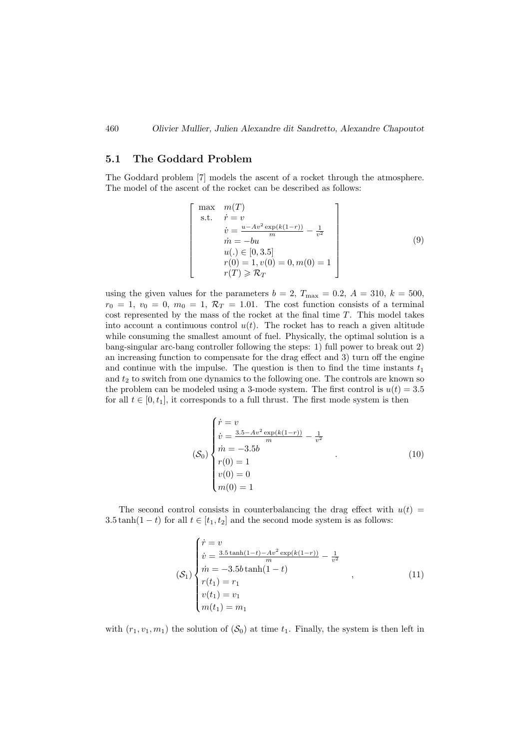#### 5.1 The Goddard Problem

The Goddard problem [7] models the ascent of a rocket through the atmosphere. The model of the ascent of the rocket can be described as follows:

$$
\begin{bmatrix}\n\max & m(T) \\
\text{s.t.} & \dot{r} = v \\
\dot{v} = \frac{u - Av^2 \exp(k(1-r))}{m} - \frac{1}{v^2} \\
\dot{m} = -bu \\
u(.) \in [0, 3.5] \\
r(0) = 1, v(0) = 0, m(0) = 1 \\
r(T) \geq \mathcal{R}_T\n\end{bmatrix}
$$
\n(9)

using the given values for the parameters  $b = 2$ ,  $T_{\text{max}} = 0.2$ ,  $A = 310$ ,  $k = 500$ ,  $r_0 = 1, v_0 = 0, m_0 = 1, \mathcal{R}_T = 1.01$ . The cost function consists of a terminal cost represented by the mass of the rocket at the final time  $T$ . This model takes into account a continuous control  $u(t)$ . The rocket has to reach a given altitude while consuming the smallest amount of fuel. Physically, the optimal solution is a bang-singular arc-bang controller following the steps: 1) full power to break out 2) an increasing function to compensate for the drag effect and 3) turn off the engine and continue with the impulse. The question is then to find the time instants  $t_1$ and  $t_2$  to switch from one dynamics to the following one. The controls are known so the problem can be modeled using a 3-mode system. The first control is  $u(t) = 3.5$ for all  $t \in [0, t_1]$ , it corresponds to a full thrust. The first mode system is then

$$
(\mathcal{S}_0) \begin{cases} \dot{r} = v \\ \dot{v} = \frac{3.5 - Av^2 \exp(k(1-r))}{m} - \frac{1}{v^2} \\ \dot{m} = -3.5b \\ r(0) = 1 \\ v(0) = 0 \\ m(0) = 1 \end{cases}
$$
(10)

The second control consists in counterbalancing the drag effect with  $u(t)$  = 3.5 tanh(1 − t) for all  $t \in [t_1, t_2]$  and the second mode system is as follows:

$$
\begin{cases}\n\dot{r} = v \\
\dot{v} = \frac{3.5 \tanh(1-t) - Av^2 \exp(k(1-r))}{m} - \frac{1}{v^2} \\
\dot{m} = -3.5b \tanh(1-t) \\
r(t_1) = r_1 \\
v(t_1) = v_1 \\
m(t_1) = m_1\n\end{cases}
$$
\n(11)

with  $(r_1, v_1, m_1)$  the solution of  $(\mathcal{S}_0)$  at time  $t_1$ . Finally, the system is then left in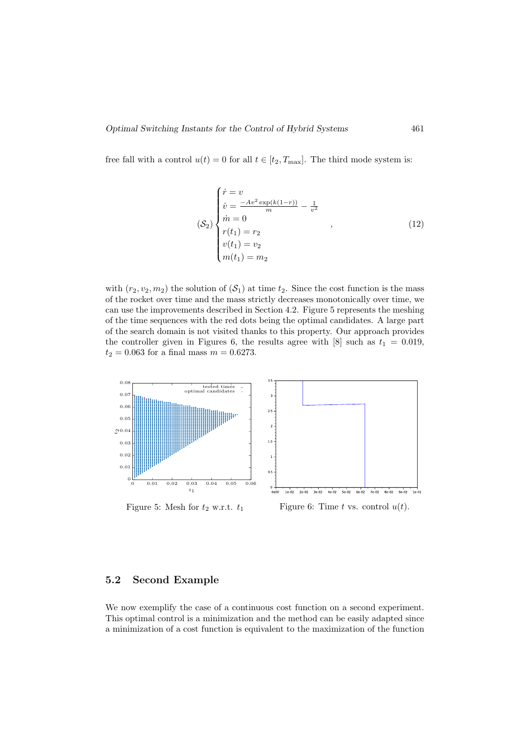free fall with a control  $u(t) = 0$  for all  $t \in [t_2, T_{\text{max}}]$ . The third mode system is:

$$
\begin{cases}\n\dot{r} = v \\
\dot{v} = \frac{-Av^2 \exp(k(1-r))}{m} - \frac{1}{v^2} \\
\dot{m} = 0 \\
r(t_1) = r_2 \\
v(t_1) = w_2 \\
m(t_1) = m_2\n\end{cases}
$$
\n(12)

with  $(r_2, v_2, m_2)$  the solution of  $(S_1)$  at time  $t_2$ . Since the cost function is the mass of the rocket over time and the mass strictly decreases monotonically over time, we can use the improvements described in Section 4.2. Figure 5 represents the meshing of the time sequences with the red dots being the optimal candidates. A large part of the search domain is not visited thanks to this property. Our approach provides the controller given in Figures 6, the results agree with [8] such as  $t_1 = 0.019$ ,  $t_2 = 0.063$  for a final mass  $m = 0.6273$ .



#### 5.2 Second Example

We now exemplify the case of a continuous cost function on a second experiment. This optimal control is a minimization and the method can be easily adapted since a minimization of a cost function is equivalent to the maximization of the function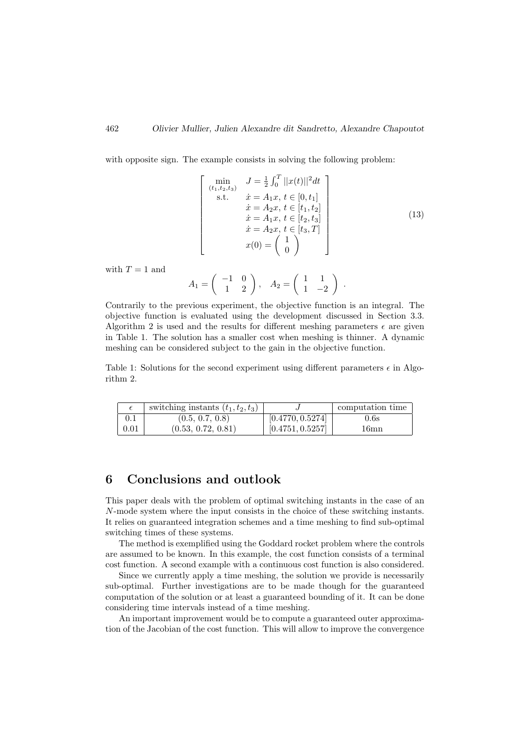with opposite sign. The example consists in solving the following problem:

$$
\begin{bmatrix}\n\min_{(t_1, t_2, t_3)} & J = \frac{1}{2} \int_0^T ||x(t)||^2 dt \\
\text{s.t.} & \dot{x} = A_1 x, t \in [0, t_1] \\
\dot{x} = A_2 x, t \in [t_1, t_2] \\
\dot{x} = A_1 x, t \in [t_2, t_3] \\
\dot{x} = A_2 x, t \in [t_3, T] \\
x(0) = \begin{pmatrix} 1 \\ 0 \end{pmatrix}\n\end{bmatrix}
$$
\n(13)

with  $T = 1$  and

$$
A_1 = \left(\begin{array}{cc} -1 & 0 \\ 1 & 2 \end{array}\right), \quad A_2 = \left(\begin{array}{cc} 1 & 1 \\ 1 & -2 \end{array}\right) .
$$

Contrarily to the previous experiment, the objective function is an integral. The objective function is evaluated using the development discussed in Section 3.3. Algorithm 2 is used and the results for different meshing parameters  $\epsilon$  are given in Table 1. The solution has a smaller cost when meshing is thinner. A dynamic meshing can be considered subject to the gain in the objective function.

Table 1: Solutions for the second experiment using different parameters  $\epsilon$  in Algorithm 2.

|      | switching instants $(t_1, t_2, t_3)$ |                  | computation time |
|------|--------------------------------------|------------------|------------------|
| 0.1  | (0.5, 0.7, 0.8)                      | [0.4770, 0.5274] | 0.6s             |
| 0.01 | (0.53, 0.72, 0.81)                   | [0.4751, 0.5257] | 16mn             |

## 6 Conclusions and outlook

This paper deals with the problem of optimal switching instants in the case of an N-mode system where the input consists in the choice of these switching instants. It relies on guaranteed integration schemes and a time meshing to find sub-optimal switching times of these systems.

The method is exemplified using the Goddard rocket problem where the controls are assumed to be known. In this example, the cost function consists of a terminal cost function. A second example with a continuous cost function is also considered.

Since we currently apply a time meshing, the solution we provide is necessarily sub-optimal. Further investigations are to be made though for the guaranteed computation of the solution or at least a guaranteed bounding of it. It can be done considering time intervals instead of a time meshing.

An important improvement would be to compute a guaranteed outer approximation of the Jacobian of the cost function. This will allow to improve the convergence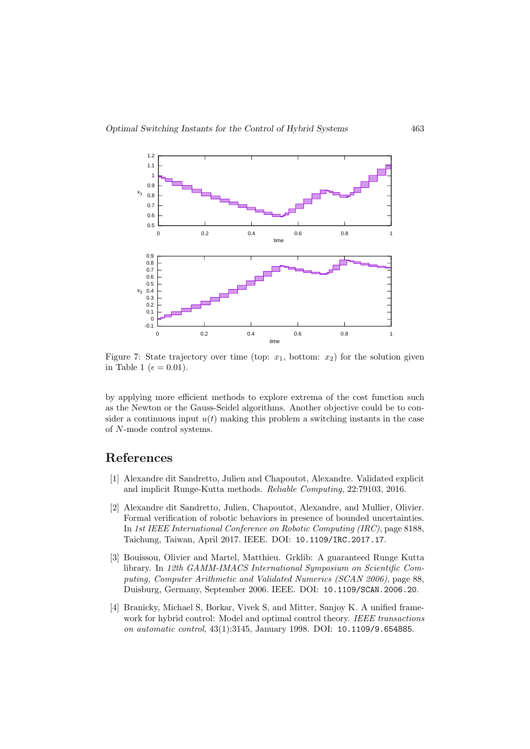

Figure 7: State trajectory over time (top:  $x_1$ , bottom:  $x_2$ ) for the solution given in Table 1 ( $\epsilon = 0.01$ ).

by applying more efficient methods to explore extrema of the cost function such as the Newton or the Gauss-Seidel algorithms. Another objective could be to consider a continuous input  $u(t)$  making this problem a switching instants in the case of N-mode control systems.

## References

- [1] Alexandre dit Sandretto, Julien and Chapoutot, Alexandre. Validated explicit and implicit Runge-Kutta methods. Reliable Computing, 22:79103, 2016.
- [2] Alexandre dit Sandretto, Julien, Chapoutot, Alexandre, and Mullier, Olivier. Formal verification of robotic behaviors in presence of bounded uncertainties. In 1st IEEE International Conference on Robotic Computing (IRC), page 8188, Taichung, Taiwan, April 2017. IEEE. DOI: 10.1109/IRC.2017.17.
- [3] Bouissou, Olivier and Martel, Matthieu. Grklib: A guaranteed Runge Kutta library. In 12th GAMM-IMACS International Symposium on Scientific Computing, Computer Arithmetic and Validated Numerics (SCAN 2006), page 88, Duisburg, Germany, September 2006. IEEE. DOI: 10.1109/SCAN.2006.20.
- [4] Branicky, Michael S, Borkar, Vivek S, and Mitter, Sanjoy K. A unified framework for hybrid control: Model and optimal control theory. IEEE transactions on automatic control, 43(1):3145, January 1998. DOI: 10.1109/9.654885.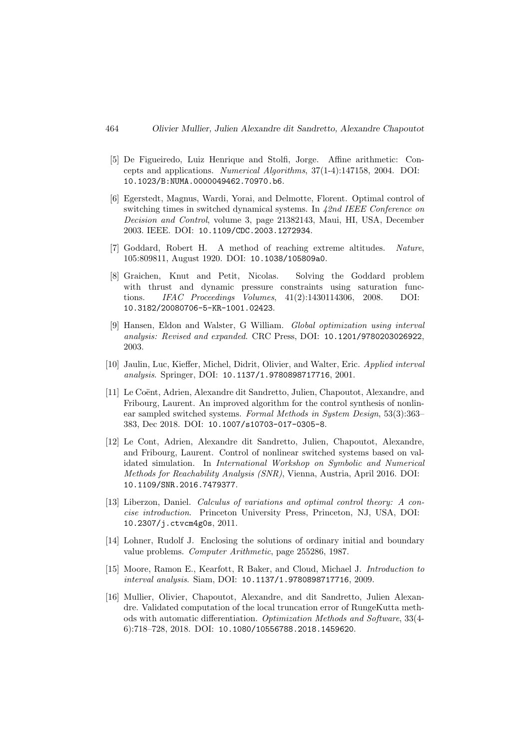- [5] De Figueiredo, Luiz Henrique and Stolfi, Jorge. Affine arithmetic: Concepts and applications. Numerical Algorithms, 37(1-4):147158, 2004. DOI: 10.1023/B:NUMA.0000049462.70970.b6.
- [6] Egerstedt, Magnus, Wardi, Yorai, and Delmotte, Florent. Optimal control of switching times in switched dynamical systems. In 42nd IEEE Conference on Decision and Control, volume 3, page 21382143, Maui, HI, USA, December 2003. IEEE. DOI: 10.1109/CDC.2003.1272934.
- [7] Goddard, Robert H. A method of reaching extreme altitudes. Nature, 105:809811, August 1920. DOI: 10.1038/105809a0.
- [8] Graichen, Knut and Petit, Nicolas. Solving the Goddard problem with thrust and dynamic pressure constraints using saturation functions. IFAC Proceedings Volumes, 41(2):1430114306, 2008. DOI: 10.3182/20080706-5-KR-1001.02423.
- [9] Hansen, Eldon and Walster, G William. Global optimization using interval analysis: Revised and expanded. CRC Press, DOI: 10.1201/9780203026922, 2003.
- [10] Jaulin, Luc, Kieffer, Michel, Didrit, Olivier, and Walter, Eric. Applied interval analysis. Springer, DOI: 10.1137/1.9780898717716, 2001.
- [11] Le Coënt, Adrien, Alexandre dit Sandretto, Julien, Chapoutot, Alexandre, and Fribourg, Laurent. An improved algorithm for the control synthesis of nonlinear sampled switched systems. Formal Methods in System Design, 53(3):363– 383, Dec 2018. DOI: 10.1007/s10703-017-0305-8.
- [12] Le Cont, Adrien, Alexandre dit Sandretto, Julien, Chapoutot, Alexandre, and Fribourg, Laurent. Control of nonlinear switched systems based on validated simulation. In International Workshop on Symbolic and Numerical Methods for Reachability Analysis (SNR), Vienna, Austria, April 2016. DOI: 10.1109/SNR.2016.7479377.
- [13] Liberzon, Daniel. Calculus of variations and optimal control theory: A concise introduction. Princeton University Press, Princeton, NJ, USA, DOI: 10.2307/j.ctvcm4g0s, 2011.
- [14] Lohner, Rudolf J. Enclosing the solutions of ordinary initial and boundary value problems. Computer Arithmetic, page 255286, 1987.
- [15] Moore, Ramon E., Kearfott, R Baker, and Cloud, Michael J. Introduction to interval analysis. Siam, DOI: 10.1137/1.9780898717716, 2009.
- [16] Mullier, Olivier, Chapoutot, Alexandre, and dit Sandretto, Julien Alexandre. Validated computation of the local truncation error of RungeKutta methods with automatic differentiation. Optimization Methods and Software, 33(4- 6):718–728, 2018. DOI: 10.1080/10556788.2018.1459620.